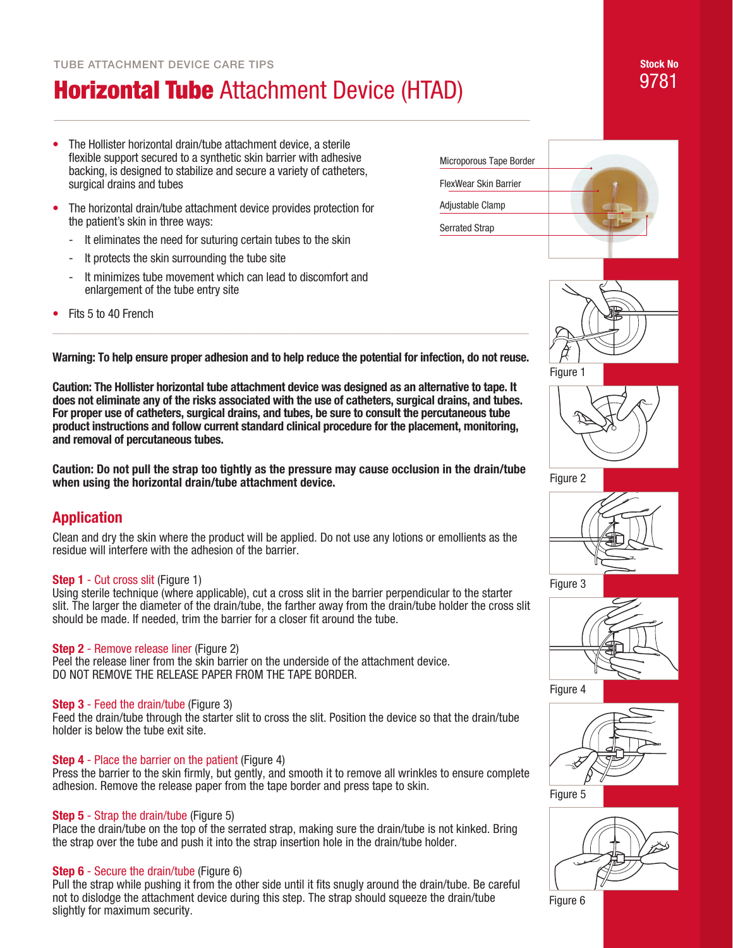# **Horizontal Tube** Attachment Device (HTAD)

- The Hollister horizontal drain/tube attachment device, a sterile flexible support secured to a synthetic skin barrier with adhesive backing, is designed to stabilize and secure a variety of catheters, surgical drains and tubes
- The horizontal drain/tube attachment device provides protection for the patient's skin in three ways:
	- It eliminates the need for suturing certain tubes to the skin
	- It protects the skin surrounding the tube site
	- It minimizes tube movement which can lead to discomfort and enlargement of the tube entry site
- Fits 5 to 40 French



Figure 1



Figure 2





Figure 4



Figure 5



Figure 6

**Warning: To help ensure proper adhesion and to help reduce the potential for infection, do not reuse.** 

\_\_\_\_\_\_\_\_\_\_\_\_\_\_\_\_\_\_\_\_\_\_\_\_\_\_\_\_\_\_\_\_\_\_\_\_\_\_\_\_\_\_\_\_\_\_\_\_\_\_\_\_\_\_\_\_\_\_\_\_\_\_\_\_\_\_\_\_\_\_\_\_\_\_\_\_\_

**Caution: The Hollister horizontal tube attachment device was designed as an alternative to tape. It does not eliminate any of the risks associated with the use of catheters, surgical drains, and tubes. For proper use of catheters, surgical drains, and tubes, be sure to consult the percutaneous tube product instructions and follow current standard clinical procedure for the placement, monitoring, and removal of percutaneous tubes.**

**Caution: Do not pull the strap too tightly as the pressure may cause occlusion in the drain/tube when using the horizontal drain/tube attachment device.** 

### **Application**

Clean and dry the skin where the product will be applied. Do not use any lotions or emollients as the residue will interfere with the adhesion of the barrier.

#### **Step 1** - Cut cross slit (Figure 1)

Using sterile technique (where applicable), cut a cross slit in the barrier perpendicular to the starter slit. The larger the diameter of the drain/tube, the farther away from the drain/tube holder the cross slit should be made. If needed, trim the barrier for a closer fit around the tube.

#### **Step 2** - Remove release liner (Figure 2)

Peel the release liner from the skin barrier on the underside of the attachment device. DO NOT REMOVE THE RELEASE PAPER FROM THE TAPE BORDER.

#### **Step 3** - Feed the drain/tube (Figure 3)

Feed the drain/tube through the starter slit to cross the slit. Position the device so that the drain/tube holder is below the tube exit site.

#### **Step 4** - Place the barrier on the patient (Figure 4)

Press the barrier to the skin firmly, but gently, and smooth it to remove all wrinkles to ensure complete adhesion. Remove the release paper from the tape border and press tape to skin.

#### **Step 5** - Strap the drain/tube (Figure 5)

Place the drain/tube on the top of the serrated strap, making sure the drain/tube is not kinked. Bring the strap over the tube and push it into the strap insertion hole in the drain/tube holder.

#### **Step 6** - Secure the drain/tube (Figure 6)

Pull the strap while pushing it from the other side until it fits snugly around the drain/tube. Be careful not to dislodge the attachment device during this step. The strap should squeeze the drain/tube slightly for maximum security.